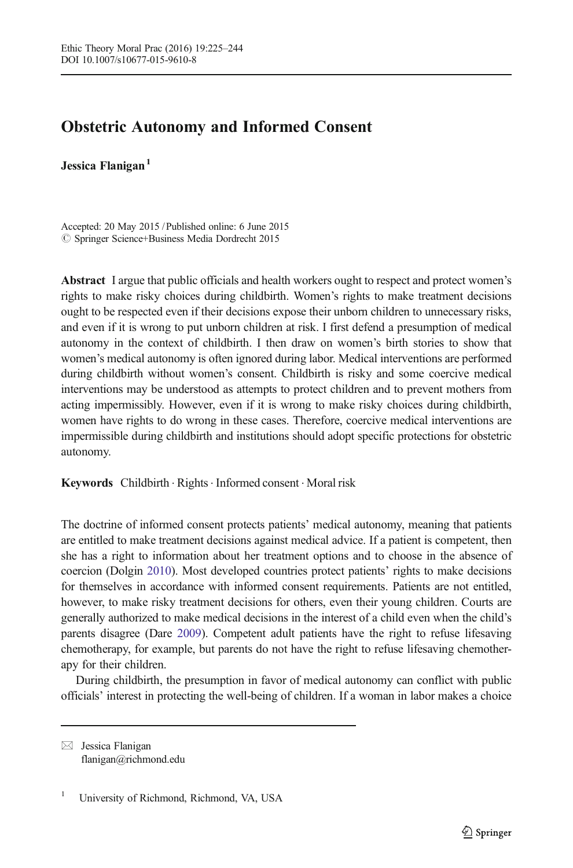# Obstetric Autonomy and Informed Consent

Jessica Flanigan<sup>1</sup>

Accepted: 20 May 2015 / Published online: 6 June 2015  $\oslash$  Springer Science+Business Media Dordrecht 2015

Abstract I argue that public officials and health workers ought to respect and protect women's rights to make risky choices during childbirth. Women's rights to make treatment decisions ought to be respected even if their decisions expose their unborn children to unnecessary risks, and even if it is wrong to put unborn children at risk. I first defend a presumption of medical autonomy in the context of childbirth. I then draw on women's birth stories to show that women's medical autonomy is often ignored during labor. Medical interventions are performed during childbirth without women's consent. Childbirth is risky and some coercive medical interventions may be understood as attempts to protect children and to prevent mothers from acting impermissibly. However, even if it is wrong to make risky choices during childbirth, women have rights to do wrong in these cases. Therefore, coercive medical interventions are impermissible during childbirth and institutions should adopt specific protections for obstetric autonomy.

Keywords Childbirth · Rights · Informed consent · Moral risk

The doctrine of informed consent protects patients' medical autonomy, meaning that patients are entitled to make treatment decisions against medical advice. If a patient is competent, then she has a right to information about her treatment options and to choose in the absence of coercion (Dolgin [2010](#page-18-0)). Most developed countries protect patients' rights to make decisions for themselves in accordance with informed consent requirements. Patients are not entitled, however, to make risky treatment decisions for others, even their young children. Courts are generally authorized to make medical decisions in the interest of a child even when the child's parents disagree (Dare [2009](#page-18-0)). Competent adult patients have the right to refuse lifesaving chemotherapy, for example, but parents do not have the right to refuse lifesaving chemotherapy for their children.

During childbirth, the presumption in favor of medical autonomy can conflict with public officials' interest in protecting the well-being of children. If a woman in labor makes a choice

 $\boxtimes$  Jessica Flanigan flanigan@richmond.edu

<sup>&</sup>lt;sup>1</sup> University of Richmond, Richmond, VA, USA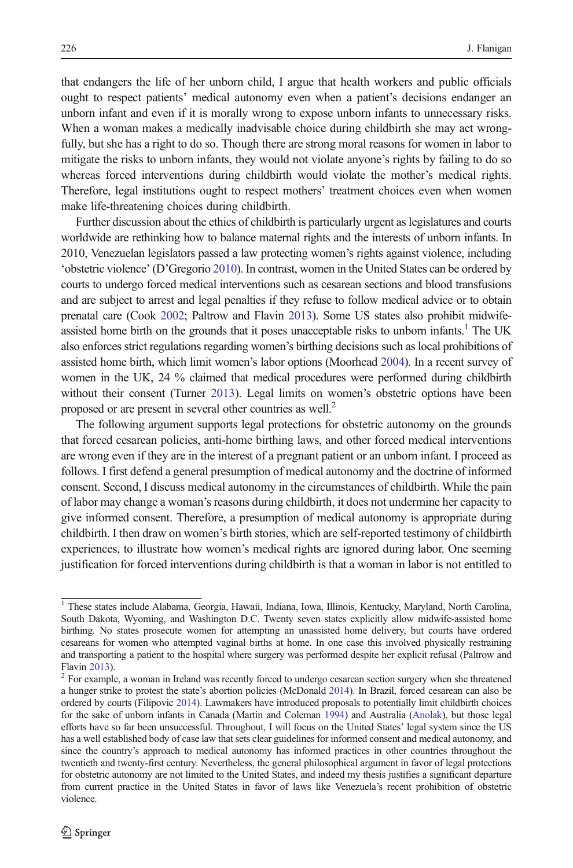that endangers the life of her unborn child, I argue that health workers and public officials ought to respect patients' medical autonomy even when a patient's decisions endanger an unborn infant and even if it is morally wrong to expose unborn infants to unnecessary risks. When a woman makes a medically inadvisable choice during childbirth she may act wrongfully, but she has a right to do so. Though there are strong moral reasons for women in labor to mitigate the risks to unborn infants, they would not violate anyone's rights by failing to do so whereas forced interventions during childbirth would violate the mother's medical rights. Therefore, legal institutions ought to respect mothers' treatment choices even when women make life-threatening choices during childbirth.

Further discussion about the ethics of childbirth is particularly urgent as legislatures and courts worldwide are rethinking how to balance maternal rights and the interests of unborn infants. In 2010, Venezuelan legislators passed a law protecting women's rights against violence, including 'obstetric violence' (D'Gregorio [2010\)](#page-19-0). In contrast, women in the United States can be ordered by courts to undergo forced medical interventions such as cesarean sections and blood transfusions and are subject to arrest and legal penalties if they refuse to follow medical advice or to obtain prenatal care (Cook [2002](#page-18-0); Paltrow and Flavin [2013](#page-19-0)). Some US states also prohibit midwifeassisted home birth on the grounds that it poses unacceptable risks to unborn infants.<sup>1</sup> The UK also enforces strict regulations regarding women's birthing decisions such as local prohibitions of assisted home birth, which limit women's labor options (Moorhead [2004](#page-19-0)). In a recent survey of women in the UK, 24 % claimed that medical procedures were performed during childbirth without their consent (Turner [2013](#page-19-0)). Legal limits on women's obstetric options have been proposed or are present in several other countries as well.<sup>2</sup>

The following argument supports legal protections for obstetric autonomy on the grounds that forced cesarean policies, anti-home birthing laws, and other forced medical interventions are wrong even if they are in the interest of a pregnant patient or an unborn infant. I proceed as follows. I first defend a general presumption of medical autonomy and the doctrine of informed consent. Second, I discuss medical autonomy in the circumstances of childbirth. While the pain of labor may change a woman's reasons during childbirth, it does not undermine her capacity to give informed consent. Therefore, a presumption of medical autonomy is appropriate during childbirth. I then draw on women's birth stories, which are self-reported testimony of childbirth experiences, to illustrate how women's medical rights are ignored during labor. One seeming justification for forced interventions during childbirth is that a woman in labor is not entitled to

<sup>&</sup>lt;sup>1</sup> These states include Alabama, Georgia, Hawaii, Indiana, Iowa, Illinois, Kentucky, Maryland, North Carolina, South Dakota, Wyoming, and Washington D.C. Twenty seven states explicitly allow midwife-assisted home birthing. No states prosecute women for attempting an unassisted home delivery, but courts have ordered cesareans for women who attempted vaginal births at home. In one case this involved physically restraining and transporting a patient to the hospital where surgery was performed despite her explicit refusal (Paltrow and Flavin [2013](#page-19-0)). <sup>2</sup> For example, a woman in Ireland was recently forced to undergo cesarean section surgery when she threatened

a hunger strike to protest the state's abortion policies (McDonald [2014](#page-19-0)). In Brazil, forced cesarean can also be ordered by courts (Filipovic [2014\)](#page-18-0). Lawmakers have introduced proposals to potentially limit childbirth choices for the sake of unborn infants in Canada (Martin and Coleman [1994](#page-19-0)) and Australia ([Anolak](#page-17-0)), but those legal efforts have so far been unsuccessful. Throughout, I will focus on the United States' legal system since the US has a well established body of case law that sets clear guidelines for informed consent and medical autonomy, and since the country's approach to medical autonomy has informed practices in other countries throughout the twentieth and twenty-first century. Nevertheless, the general philosophical argument in favor of legal protections for obstetric autonomy are not limited to the United States, and indeed my thesis justifies a significant departure from current practice in the United States in favor of laws like Venezuela's recent prohibition of obstetric violence.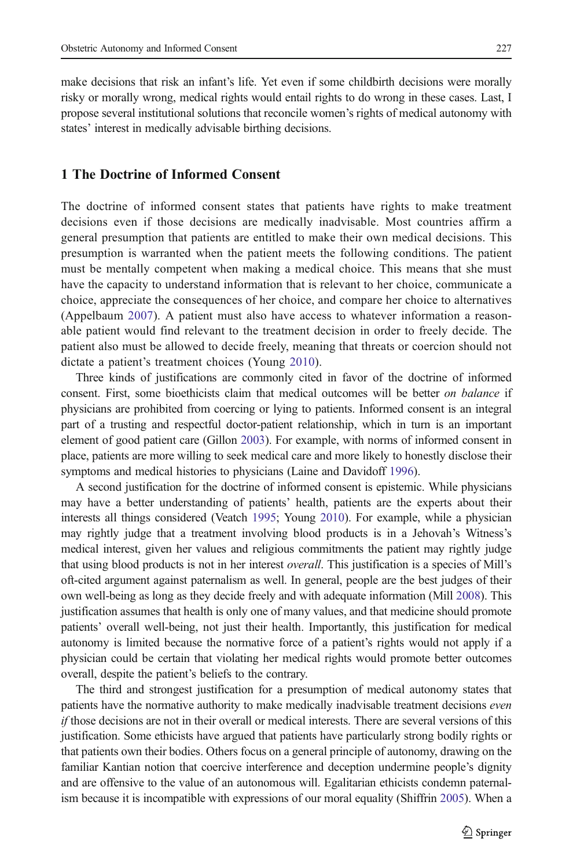make decisions that risk an infant's life. Yet even if some childbirth decisions were morally risky or morally wrong, medical rights would entail rights to do wrong in these cases. Last, I propose several institutional solutions that reconcile women's rights of medical autonomy with states' interest in medically advisable birthing decisions.

### 1 The Doctrine of Informed Consent

The doctrine of informed consent states that patients have rights to make treatment decisions even if those decisions are medically inadvisable. Most countries affirm a general presumption that patients are entitled to make their own medical decisions. This presumption is warranted when the patient meets the following conditions. The patient must be mentally competent when making a medical choice. This means that she must have the capacity to understand information that is relevant to her choice, communicate a choice, appreciate the consequences of her choice, and compare her choice to alternatives (Appelbaum [2007\)](#page-17-0). A patient must also have access to whatever information a reasonable patient would find relevant to the treatment decision in order to freely decide. The patient also must be allowed to decide freely, meaning that threats or coercion should not dictate a patient's treatment choices (Young [2010\)](#page-19-0).

Three kinds of justifications are commonly cited in favor of the doctrine of informed consent. First, some bioethicists claim that medical outcomes will be better on balance if physicians are prohibited from coercing or lying to patients. Informed consent is an integral part of a trusting and respectful doctor-patient relationship, which in turn is an important element of good patient care (Gillon [2003](#page-18-0)). For example, with norms of informed consent in place, patients are more willing to seek medical care and more likely to honestly disclose their symptoms and medical histories to physicians (Laine and Davidoff [1996](#page-18-0)).

A second justification for the doctrine of informed consent is epistemic. While physicians may have a better understanding of patients' health, patients are the experts about their interests all things considered (Veatch [1995;](#page-19-0) Young [2010](#page-19-0)). For example, while a physician may rightly judge that a treatment involving blood products is in a Jehovah's Witness's medical interest, given her values and religious commitments the patient may rightly judge that using blood products is not in her interest overall. This justification is a species of Mill's oft-cited argument against paternalism as well. In general, people are the best judges of their own well-being as long as they decide freely and with adequate information (Mill [2008\)](#page-19-0). This justification assumes that health is only one of many values, and that medicine should promote patients' overall well-being, not just their health. Importantly, this justification for medical autonomy is limited because the normative force of a patient's rights would not apply if a physician could be certain that violating her medical rights would promote better outcomes overall, despite the patient's beliefs to the contrary.

The third and strongest justification for a presumption of medical autonomy states that patients have the normative authority to make medically inadvisable treatment decisions even if those decisions are not in their overall or medical interests. There are several versions of this justification. Some ethicists have argued that patients have particularly strong bodily rights or that patients own their bodies. Others focus on a general principle of autonomy, drawing on the familiar Kantian notion that coercive interference and deception undermine people's dignity and are offensive to the value of an autonomous will. Egalitarian ethicists condemn paternalism because it is incompatible with expressions of our moral equality (Shiffrin [2005](#page-19-0)). When a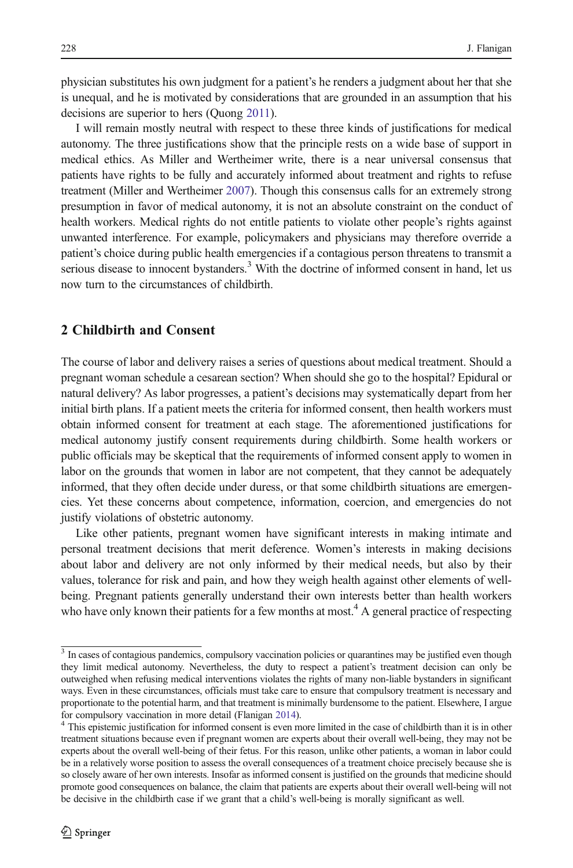physician substitutes his own judgment for a patient's he renders a judgment about her that she is unequal, and he is motivated by considerations that are grounded in an assumption that his decisions are superior to hers (Quong [2011](#page-19-0)).

I will remain mostly neutral with respect to these three kinds of justifications for medical autonomy. The three justifications show that the principle rests on a wide base of support in medical ethics. As Miller and Wertheimer write, there is a near universal consensus that patients have rights to be fully and accurately informed about treatment and rights to refuse treatment (Miller and Wertheimer [2007\)](#page-19-0). Though this consensus calls for an extremely strong presumption in favor of medical autonomy, it is not an absolute constraint on the conduct of health workers. Medical rights do not entitle patients to violate other people's rights against unwanted interference. For example, policymakers and physicians may therefore override a patient's choice during public health emergencies if a contagious person threatens to transmit a serious disease to innocent bystanders.<sup>3</sup> With the doctrine of informed consent in hand, let us now turn to the circumstances of childbirth.

## 2 Childbirth and Consent

The course of labor and delivery raises a series of questions about medical treatment. Should a pregnant woman schedule a cesarean section? When should she go to the hospital? Epidural or natural delivery? As labor progresses, a patient's decisions may systematically depart from her initial birth plans. If a patient meets the criteria for informed consent, then health workers must obtain informed consent for treatment at each stage. The aforementioned justifications for medical autonomy justify consent requirements during childbirth. Some health workers or public officials may be skeptical that the requirements of informed consent apply to women in labor on the grounds that women in labor are not competent, that they cannot be adequately informed, that they often decide under duress, or that some childbirth situations are emergencies. Yet these concerns about competence, information, coercion, and emergencies do not justify violations of obstetric autonomy.

Like other patients, pregnant women have significant interests in making intimate and personal treatment decisions that merit deference. Women's interests in making decisions about labor and delivery are not only informed by their medical needs, but also by their values, tolerance for risk and pain, and how they weigh health against other elements of wellbeing. Pregnant patients generally understand their own interests better than health workers who have only known their patients for a few months at most.<sup>4</sup> A general practice of respecting

<sup>&</sup>lt;sup>3</sup> In cases of contagious pandemics, compulsory vaccination policies or quarantines may be justified even though they limit medical autonomy. Nevertheless, the duty to respect a patient's treatment decision can only be outweighed when refusing medical interventions violates the rights of many non-liable bystanders in significant ways. Even in these circumstances, officials must take care to ensure that compulsory treatment is necessary and proportionate to the potential harm, and that treatment is minimally burdensome to the patient. Elsewhere, I argue for compulsory vaccination in more detail (Flanigan [2014\)](#page-18-0). <sup>4</sup> This epistemic justification for informed consent is even more limited in the case of childbirth than it is in other

treatment situations because even if pregnant women are experts about their overall well-being, they may not be experts about the overall well-being of their fetus. For this reason, unlike other patients, a woman in labor could be in a relatively worse position to assess the overall consequences of a treatment choice precisely because she is so closely aware of her own interests. Insofar as informed consent is justified on the grounds that medicine should promote good consequences on balance, the claim that patients are experts about their overall well-being will not be decisive in the childbirth case if we grant that a child's well-being is morally significant as well.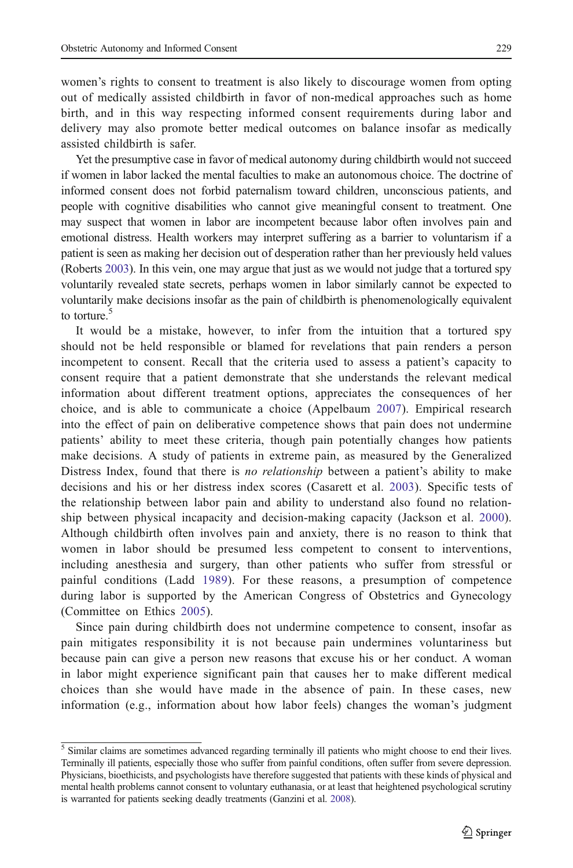women's rights to consent to treatment is also likely to discourage women from opting out of medically assisted childbirth in favor of non-medical approaches such as home birth, and in this way respecting informed consent requirements during labor and delivery may also promote better medical outcomes on balance insofar as medically assisted childbirth is safer.

Yet the presumptive case in favor of medical autonomy during childbirth would not succeed if women in labor lacked the mental faculties to make an autonomous choice. The doctrine of informed consent does not forbid paternalism toward children, unconscious patients, and people with cognitive disabilities who cannot give meaningful consent to treatment. One may suspect that women in labor are incompetent because labor often involves pain and emotional distress. Health workers may interpret suffering as a barrier to voluntarism if a patient is seen as making her decision out of desperation rather than her previously held values (Roberts [2003](#page-19-0)). In this vein, one may argue that just as we would not judge that a tortured spy voluntarily revealed state secrets, perhaps women in labor similarly cannot be expected to voluntarily make decisions insofar as the pain of childbirth is phenomenologically equivalent to torture.<sup>5</sup>

It would be a mistake, however, to infer from the intuition that a tortured spy should not be held responsible or blamed for revelations that pain renders a person incompetent to consent. Recall that the criteria used to assess a patient's capacity to consent require that a patient demonstrate that she understands the relevant medical information about different treatment options, appreciates the consequences of her choice, and is able to communicate a choice (Appelbaum [2007](#page-17-0)). Empirical research into the effect of pain on deliberative competence shows that pain does not undermine patients' ability to meet these criteria, though pain potentially changes how patients make decisions. A study of patients in extreme pain, as measured by the Generalized Distress Index, found that there is *no relationship* between a patient's ability to make decisions and his or her distress index scores (Casarett et al. [2003](#page-17-0)). Specific tests of the relationship between labor pain and ability to understand also found no relationship between physical incapacity and decision-making capacity (Jackson et al. [2000](#page-18-0)). Although childbirth often involves pain and anxiety, there is no reason to think that women in labor should be presumed less competent to consent to interventions, including anesthesia and surgery, than other patients who suffer from stressful or painful conditions (Ladd [1989\)](#page-18-0). For these reasons, a presumption of competence during labor is supported by the American Congress of Obstetrics and Gynecology (Committee on Ethics [2005](#page-18-0)).

Since pain during childbirth does not undermine competence to consent, insofar as pain mitigates responsibility it is not because pain undermines voluntariness but because pain can give a person new reasons that excuse his or her conduct. A woman in labor might experience significant pain that causes her to make different medical choices than she would have made in the absence of pain. In these cases, new information (e.g., information about how labor feels) changes the woman's judgment

<sup>&</sup>lt;sup>5</sup> Similar claims are sometimes advanced regarding terminally ill patients who might choose to end their lives. Terminally ill patients, especially those who suffer from painful conditions, often suffer from severe depression. Physicians, bioethicists, and psychologists have therefore suggested that patients with these kinds of physical and mental health problems cannot consent to voluntary euthanasia, or at least that heightened psychological scrutiny is warranted for patients seeking deadly treatments (Ganzini et al. [2008](#page-18-0)).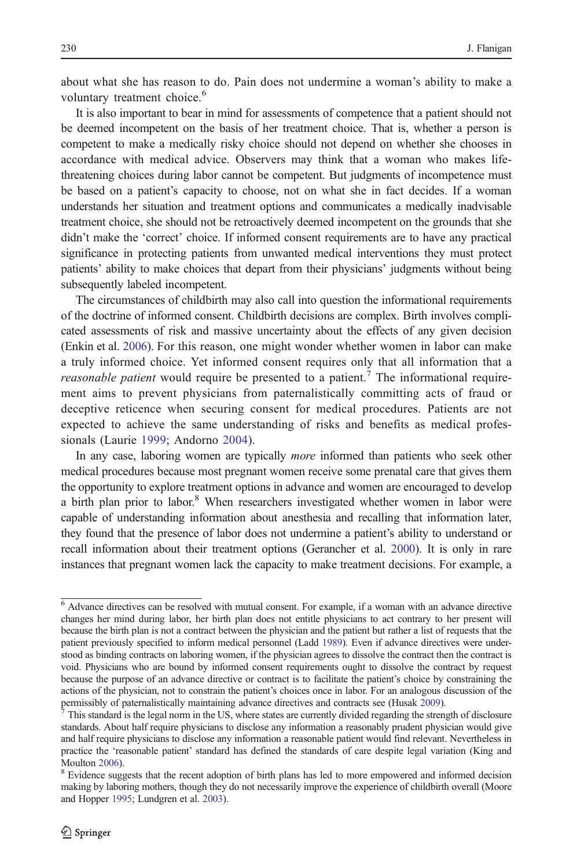about what she has reason to do. Pain does not undermine a woman's ability to make a voluntary treatment choice.<sup>6</sup>

It is also important to bear in mind for assessments of competence that a patient should not be deemed incompetent on the basis of her treatment choice. That is, whether a person is competent to make a medically risky choice should not depend on whether she chooses in accordance with medical advice. Observers may think that a woman who makes lifethreatening choices during labor cannot be competent. But judgments of incompetence must be based on a patient's capacity to choose, not on what she in fact decides. If a woman understands her situation and treatment options and communicates a medically inadvisable treatment choice, she should not be retroactively deemed incompetent on the grounds that she didn't make the 'correct' choice. If informed consent requirements are to have any practical significance in protecting patients from unwanted medical interventions they must protect patients' ability to make choices that depart from their physicians' judgments without being subsequently labeled incompetent.

The circumstances of childbirth may also call into question the informational requirements of the doctrine of informed consent. Childbirth decisions are complex. Birth involves complicated assessments of risk and massive uncertainty about the effects of any given decision (Enkin et al. [2006\)](#page-18-0). For this reason, one might wonder whether women in labor can make a truly informed choice. Yet informed consent requires only that all information that a *reasonable patient* would require be presented to a patient.<sup>7</sup> The informational requirement aims to prevent physicians from paternalistically committing acts of fraud or deceptive reticence when securing consent for medical procedures. Patients are not expected to achieve the same understanding of risks and benefits as medical professionals (Laurie [1999;](#page-18-0) Andorno [2004](#page-17-0)).

In any case, laboring women are typically *more* informed than patients who seek other medical procedures because most pregnant women receive some prenatal care that gives them the opportunity to explore treatment options in advance and women are encouraged to develop a birth plan prior to labor.<sup>8</sup> When researchers investigated whether women in labor were capable of understanding information about anesthesia and recalling that information later, they found that the presence of labor does not undermine a patient's ability to understand or recall information about their treatment options (Gerancher et al. [2000\)](#page-18-0). It is only in rare instances that pregnant women lack the capacity to make treatment decisions. For example, a

<sup>6</sup> Advance directives can be resolved with mutual consent. For example, if a woman with an advance directive changes her mind during labor, her birth plan does not entitle physicians to act contrary to her present will because the birth plan is not a contract between the physician and the patient but rather a list of requests that the patient previously specified to inform medical personnel (Ladd [1989\)](#page-18-0). Even if advance directives were understood as binding contracts on laboring women, if the physician agrees to dissolve the contract then the contract is void. Physicians who are bound by informed consent requirements ought to dissolve the contract by request because the purpose of an advance directive or contract is to facilitate the patient's choice by constraining the actions of the physician, not to constrain the patient's choices once in labor. For an analogous discussion of the permissibly of paternalistically maintaining advance directives and contracts see (Husak 2009).

This standard is the legal norm in the US, where states are currently divided regarding the strength of disclosure standards. About half require physicians to disclose any information a reasonably prudent physician would give and half require physicians to disclose any information a reasonable patient would find relevant. Nevertheless in practice the 'reasonable patient' standard has defined the standards of care despite legal variation (King and Moulton [2006](#page-18-0)).<br><sup>8</sup> Evidence suggests that the recent adoption of birth plans has led to more empowered and informed decision

making by laboring mothers, though they do not necessarily improve the experience of childbirth overall (Moore and Hopper [1995](#page-19-0); Lundgren et al. [2003](#page-18-0)).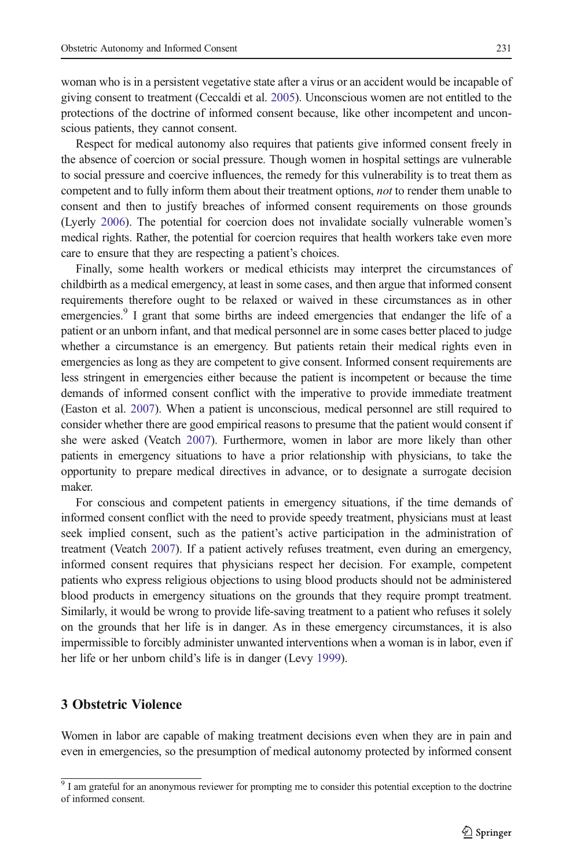woman who is in a persistent vegetative state after a virus or an accident would be incapable of giving consent to treatment (Ceccaldi et al. [2005](#page-18-0)). Unconscious women are not entitled to the protections of the doctrine of informed consent because, like other incompetent and unconscious patients, they cannot consent.

Respect for medical autonomy also requires that patients give informed consent freely in the absence of coercion or social pressure. Though women in hospital settings are vulnerable to social pressure and coercive influences, the remedy for this vulnerability is to treat them as competent and to fully inform them about their treatment options, *not* to render them unable to consent and then to justify breaches of informed consent requirements on those grounds (Lyerly [2006\)](#page-18-0). The potential for coercion does not invalidate socially vulnerable women's medical rights. Rather, the potential for coercion requires that health workers take even more care to ensure that they are respecting a patient's choices.

Finally, some health workers or medical ethicists may interpret the circumstances of childbirth as a medical emergency, at least in some cases, and then argue that informed consent requirements therefore ought to be relaxed or waived in these circumstances as in other emergencies.<sup>9</sup> I grant that some births are indeed emergencies that endanger the life of a patient or an unborn infant, and that medical personnel are in some cases better placed to judge whether a circumstance is an emergency. But patients retain their medical rights even in emergencies as long as they are competent to give consent. Informed consent requirements are less stringent in emergencies either because the patient is incompetent or because the time demands of informed consent conflict with the imperative to provide immediate treatment (Easton et al. [2007\)](#page-18-0). When a patient is unconscious, medical personnel are still required to consider whether there are good empirical reasons to presume that the patient would consent if she were asked (Veatch [2007\)](#page-19-0). Furthermore, women in labor are more likely than other patients in emergency situations to have a prior relationship with physicians, to take the opportunity to prepare medical directives in advance, or to designate a surrogate decision maker.

For conscious and competent patients in emergency situations, if the time demands of informed consent conflict with the need to provide speedy treatment, physicians must at least seek implied consent, such as the patient's active participation in the administration of treatment (Veatch [2007\)](#page-19-0). If a patient actively refuses treatment, even during an emergency, informed consent requires that physicians respect her decision. For example, competent patients who express religious objections to using blood products should not be administered blood products in emergency situations on the grounds that they require prompt treatment. Similarly, it would be wrong to provide life-saving treatment to a patient who refuses it solely on the grounds that her life is in danger. As in these emergency circumstances, it is also impermissible to forcibly administer unwanted interventions when a woman is in labor, even if her life or her unborn child's life is in danger (Levy [1999](#page-18-0)).

## 3 Obstetric Violence

Women in labor are capable of making treatment decisions even when they are in pain and even in emergencies, so the presumption of medical autonomy protected by informed consent

<sup>&</sup>lt;sup>9</sup> I am grateful for an anonymous reviewer for prompting me to consider this potential exception to the doctrine of informed consent.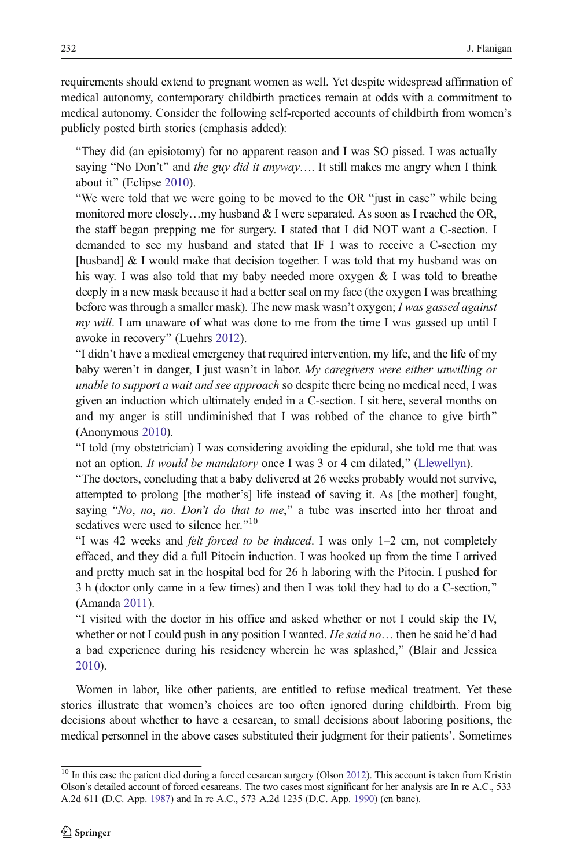requirements should extend to pregnant women as well. Yet despite widespread affirmation of medical autonomy, contemporary childbirth practices remain at odds with a commitment to medical autonomy. Consider the following self-reported accounts of childbirth from women's publicly posted birth stories (emphasis added):

"They did (an episiotomy) for no apparent reason and I was SO pissed. I was actually saying "No Don't" and the guy did it anyway.... It still makes me angry when I think about it" (Eclipse [2010\)](#page-18-0).

"We were told that we were going to be moved to the OR "just in case" while being monitored more closely…my husband & I were separated. As soon as I reached the OR, the staff began prepping me for surgery. I stated that I did NOT want a C-section. I demanded to see my husband and stated that IF I was to receive a C-section my [husband] & I would make that decision together. I was told that my husband was on his way. I was also told that my baby needed more oxygen & I was told to breathe deeply in a new mask because it had a better seal on my face (the oxygen I was breathing before was through a smaller mask). The new mask wasn't oxygen; I was gassed against my will. I am unaware of what was done to me from the time I was gassed up until I awoke in recovery" (Luehrs [2012](#page-18-0)).

BI didn't have a medical emergency that required intervention, my life, and the life of my baby weren't in danger, I just wasn't in labor. My caregivers were either unwilling or unable to support a wait and see approach so despite there being no medical need, I was given an induction which ultimately ended in a C-section. I sit here, several months on and my anger is still undiminished that I was robbed of the chance to give birth" (Anonymous [2010\)](#page-17-0).

BI told (my obstetrician) I was considering avoiding the epidural, she told me that was not an option. It would be mandatory once I was 3 or 4 cm dilated," ([Llewellyn\)](#page-18-0).

"The doctors, concluding that a baby delivered at 26 weeks probably would not survive, attempted to prolong [the mother's] life instead of saving it. As [the mother] fought, saying "No, no, no. Don't do that to me," a tube was inserted into her throat and sedatives were used to silence her."<sup>10</sup>

"I was 42 weeks and *felt forced to be induced*. I was only  $1-2$  cm, not completely effaced, and they did a full Pitocin induction. I was hooked up from the time I arrived and pretty much sat in the hospital bed for 26 h laboring with the Pitocin. I pushed for 3 h (doctor only came in a few times) and then I was told they had to do a C-section,^ (Amanda [2011](#page-17-0)).

BI visited with the doctor in his office and asked whether or not I could skip the IV, whether or not I could push in any position I wanted. He said no... then he said he'd had a bad experience during his residency wherein he was splashed,^ (Blair and Jessica [2010\)](#page-17-0).

Women in labor, like other patients, are entitled to refuse medical treatment. Yet these stories illustrate that women's choices are too often ignored during childbirth. From big decisions about whether to have a cesarean, to small decisions about laboring positions, the medical personnel in the above cases substituted their judgment for their patients'. Sometimes

 $10$  In this case the patient died during a forced cesarean surgery (Olson [2012](#page-19-0)). This account is taken from Kristin Olson's detailed account of forced cesareans. The two cases most significant for her analysis are In re A.C., 533 A.2d 611 (D.C. App. [1987\)](#page-17-0) and In re A.C., 573 A.2d 1235 (D.C. App. [1990](#page-17-0)) (en banc).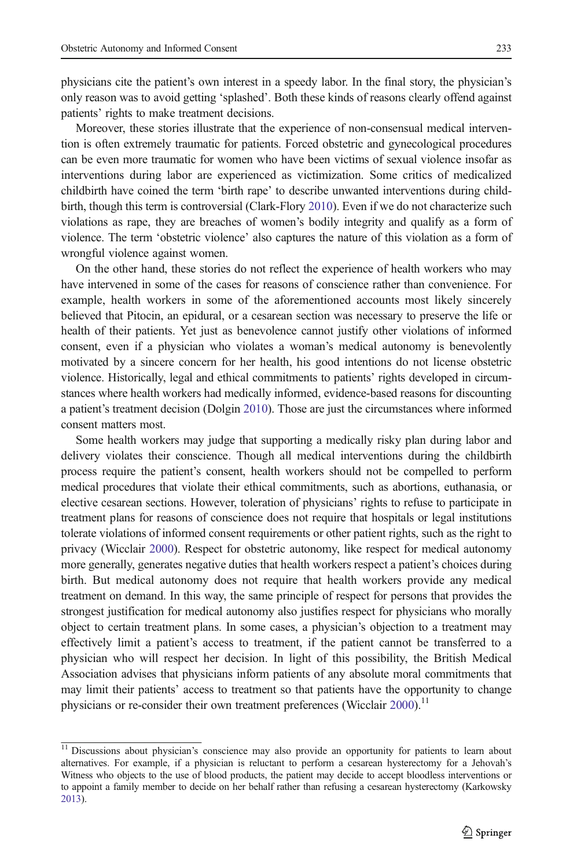physicians cite the patient's own interest in a speedy labor. In the final story, the physician's only reason was to avoid getting 'splashed'. Both these kinds of reasons clearly offend against patients' rights to make treatment decisions.

Moreover, these stories illustrate that the experience of non-consensual medical intervention is often extremely traumatic for patients. Forced obstetric and gynecological procedures can be even more traumatic for women who have been victims of sexual violence insofar as interventions during labor are experienced as victimization. Some critics of medicalized childbirth have coined the term 'birth rape' to describe unwanted interventions during childbirth, though this term is controversial (Clark-Flory [2010](#page-18-0)). Even if we do not characterize such violations as rape, they are breaches of women's bodily integrity and qualify as a form of violence. The term 'obstetric violence' also captures the nature of this violation as a form of wrongful violence against women.

On the other hand, these stories do not reflect the experience of health workers who may have intervened in some of the cases for reasons of conscience rather than convenience. For example, health workers in some of the aforementioned accounts most likely sincerely believed that Pitocin, an epidural, or a cesarean section was necessary to preserve the life or health of their patients. Yet just as benevolence cannot justify other violations of informed consent, even if a physician who violates a woman's medical autonomy is benevolently motivated by a sincere concern for her health, his good intentions do not license obstetric violence. Historically, legal and ethical commitments to patients' rights developed in circumstances where health workers had medically informed, evidence-based reasons for discounting a patient's treatment decision (Dolgin [2010](#page-18-0)). Those are just the circumstances where informed consent matters most.

Some health workers may judge that supporting a medically risky plan during labor and delivery violates their conscience. Though all medical interventions during the childbirth process require the patient's consent, health workers should not be compelled to perform medical procedures that violate their ethical commitments, such as abortions, euthanasia, or elective cesarean sections. However, toleration of physicians' rights to refuse to participate in treatment plans for reasons of conscience does not require that hospitals or legal institutions tolerate violations of informed consent requirements or other patient rights, such as the right to privacy (Wicclair [2000](#page-19-0)). Respect for obstetric autonomy, like respect for medical autonomy more generally, generates negative duties that health workers respect a patient's choices during birth. But medical autonomy does not require that health workers provide any medical treatment on demand. In this way, the same principle of respect for persons that provides the strongest justification for medical autonomy also justifies respect for physicians who morally object to certain treatment plans. In some cases, a physician's objection to a treatment may effectively limit a patient's access to treatment, if the patient cannot be transferred to a physician who will respect her decision. In light of this possibility, the British Medical Association advises that physicians inform patients of any absolute moral commitments that may limit their patients' access to treatment so that patients have the opportunity to change physicians or re-consider their own treatment preferences (Wicclair [2000\)](#page-19-0).<sup>11</sup>

<sup>&</sup>lt;sup>11</sup> Discussions about physician's conscience may also provide an opportunity for patients to learn about alternatives. For example, if a physician is reluctant to perform a cesarean hysterectomy for a Jehovah's Witness who objects to the use of blood products, the patient may decide to accept bloodless interventions or to appoint a family member to decide on her behalf rather than refusing a cesarean hysterectomy (Karkowsky [2013](#page-18-0)).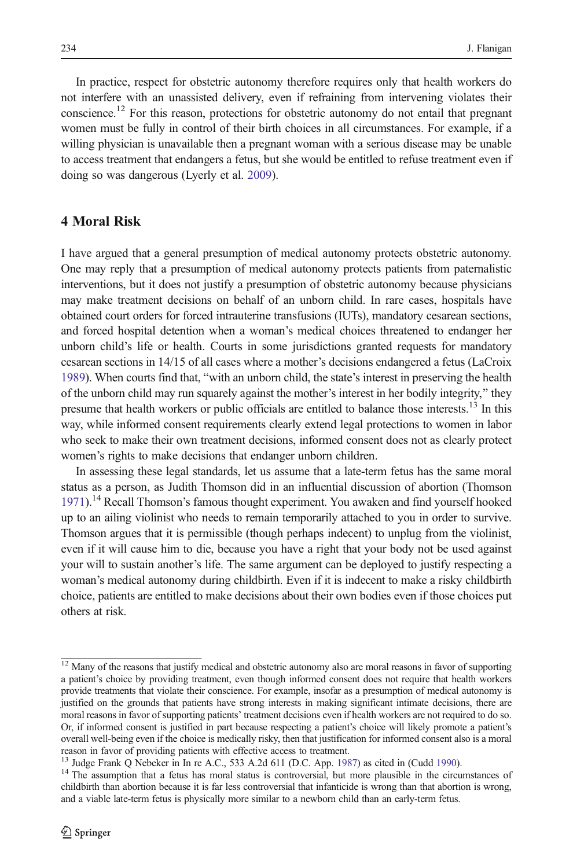In practice, respect for obstetric autonomy therefore requires only that health workers do not interfere with an unassisted delivery, even if refraining from intervening violates their conscience.<sup>12</sup> For this reason, protections for obstetric autonomy do not entail that pregnant women must be fully in control of their birth choices in all circumstances. For example, if a willing physician is unavailable then a pregnant woman with a serious disease may be unable to access treatment that endangers a fetus, but she would be entitled to refuse treatment even if doing so was dangerous (Lyerly et al. [2009](#page-18-0)).

# 4 Moral Risk

I have argued that a general presumption of medical autonomy protects obstetric autonomy. One may reply that a presumption of medical autonomy protects patients from paternalistic interventions, but it does not justify a presumption of obstetric autonomy because physicians may make treatment decisions on behalf of an unborn child. In rare cases, hospitals have obtained court orders for forced intrauterine transfusions (IUTs), mandatory cesarean sections, and forced hospital detention when a woman's medical choices threatened to endanger her unborn child's life or health. Courts in some jurisdictions granted requests for mandatory cesarean sections in 14/15 of all cases where a mother's decisions endangered a fetus (LaCroix [1989](#page-18-0)). When courts find that, "with an unborn child, the state's interest in preserving the health of the unborn child may run squarely against the mother's interest in her bodily integrity,^ they presume that health workers or public officials are entitled to balance those interests.<sup>13</sup> In this way, while informed consent requirements clearly extend legal protections to women in labor who seek to make their own treatment decisions, informed consent does not as clearly protect women's rights to make decisions that endanger unborn children.

In assessing these legal standards, let us assume that a late-term fetus has the same moral status as a person, as Judith Thomson did in an influential discussion of abortion (Thomson [1971](#page-19-0)).<sup>14</sup> Recall Thomson's famous thought experiment. You awaken and find yourself hooked up to an ailing violinist who needs to remain temporarily attached to you in order to survive. Thomson argues that it is permissible (though perhaps indecent) to unplug from the violinist, even if it will cause him to die, because you have a right that your body not be used against your will to sustain another's life. The same argument can be deployed to justify respecting a woman's medical autonomy during childbirth. Even if it is indecent to make a risky childbirth choice, patients are entitled to make decisions about their own bodies even if those choices put others at risk.

<sup>&</sup>lt;sup>12</sup> Many of the reasons that justify medical and obstetric autonomy also are moral reasons in favor of supporting a patient's choice by providing treatment, even though informed consent does not require that health workers provide treatments that violate their conscience. For example, insofar as a presumption of medical autonomy is justified on the grounds that patients have strong interests in making significant intimate decisions, there are moral reasons in favor of supporting patients' treatment decisions even if health workers are not required to do so. Or, if informed consent is justified in part because respecting a patient's choice will likely promote a patient's overall well-being even if the choice is medically risky, then that justification for informed consent also is a moral reason in favor of providing patients with effective access to treatment.

<sup>&</sup>lt;sup>13</sup> Judge Frank Q Nebeker in In re A.C., 533 A.2d 611 (D.C. App. [1987\)](#page-17-0) as cited in (Cudd [1990](#page-18-0)). <sup>14</sup> The assumption that a fetus has moral status is controversial, but more plausible in the circumstances of childbirth than abortion because it is far less controversial that infanticide is wrong than that abortion is wrong, and a viable late-term fetus is physically more similar to a newborn child than an early-term fetus.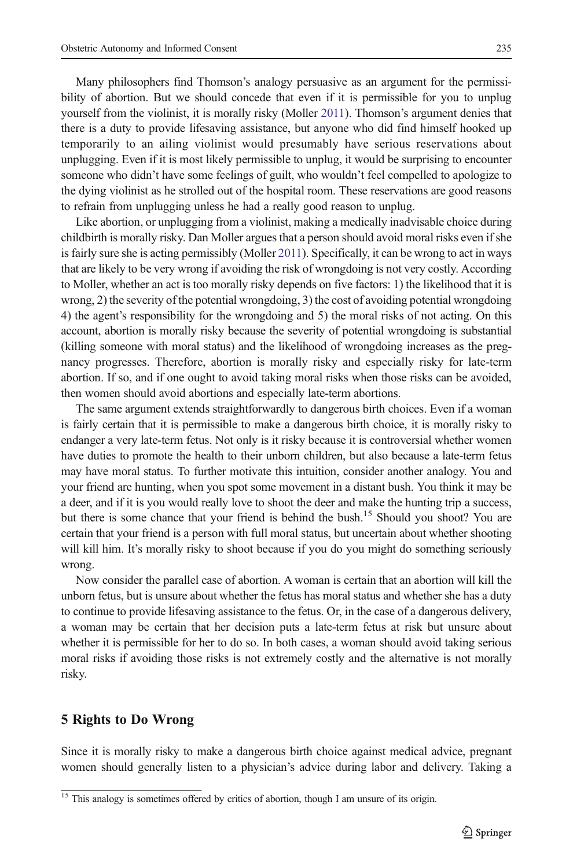Many philosophers find Thomson's analogy persuasive as an argument for the permissibility of abortion. But we should concede that even if it is permissible for you to unplug yourself from the violinist, it is morally risky (Moller [2011\)](#page-19-0). Thomson's argument denies that there is a duty to provide lifesaving assistance, but anyone who did find himself hooked up temporarily to an ailing violinist would presumably have serious reservations about unplugging. Even if it is most likely permissible to unplug, it would be surprising to encounter someone who didn't have some feelings of guilt, who wouldn't feel compelled to apologize to the dying violinist as he strolled out of the hospital room. These reservations are good reasons to refrain from unplugging unless he had a really good reason to unplug.

Like abortion, or unplugging from a violinist, making a medically inadvisable choice during childbirth is morally risky. Dan Moller argues that a person should avoid moral risks even if she is fairly sure she is acting permissibly (Moller [2011\)](#page-19-0). Specifically, it can be wrong to act in ways that are likely to be very wrong if avoiding the risk of wrongdoing is not very costly. According to Moller, whether an act is too morally risky depends on five factors: 1) the likelihood that it is wrong, 2) the severity of the potential wrongdoing, 3) the cost of avoiding potential wrongdoing 4) the agent's responsibility for the wrongdoing and 5) the moral risks of not acting. On this account, abortion is morally risky because the severity of potential wrongdoing is substantial (killing someone with moral status) and the likelihood of wrongdoing increases as the pregnancy progresses. Therefore, abortion is morally risky and especially risky for late-term abortion. If so, and if one ought to avoid taking moral risks when those risks can be avoided, then women should avoid abortions and especially late-term abortions.

The same argument extends straightforwardly to dangerous birth choices. Even if a woman is fairly certain that it is permissible to make a dangerous birth choice, it is morally risky to endanger a very late-term fetus. Not only is it risky because it is controversial whether women have duties to promote the health to their unborn children, but also because a late-term fetus may have moral status. To further motivate this intuition, consider another analogy. You and your friend are hunting, when you spot some movement in a distant bush. You think it may be a deer, and if it is you would really love to shoot the deer and make the hunting trip a success, but there is some chance that your friend is behind the bush.<sup>15</sup> Should you shoot? You are certain that your friend is a person with full moral status, but uncertain about whether shooting will kill him. It's morally risky to shoot because if you do you might do something seriously wrong.

Now consider the parallel case of abortion. A woman is certain that an abortion will kill the unborn fetus, but is unsure about whether the fetus has moral status and whether she has a duty to continue to provide lifesaving assistance to the fetus. Or, in the case of a dangerous delivery, a woman may be certain that her decision puts a late-term fetus at risk but unsure about whether it is permissible for her to do so. In both cases, a woman should avoid taking serious moral risks if avoiding those risks is not extremely costly and the alternative is not morally risky.

### 5 Rights to Do Wrong

Since it is morally risky to make a dangerous birth choice against medical advice, pregnant women should generally listen to a physician's advice during labor and delivery. Taking a

<sup>&</sup>lt;sup>15</sup> This analogy is sometimes offered by critics of abortion, though I am unsure of its origin.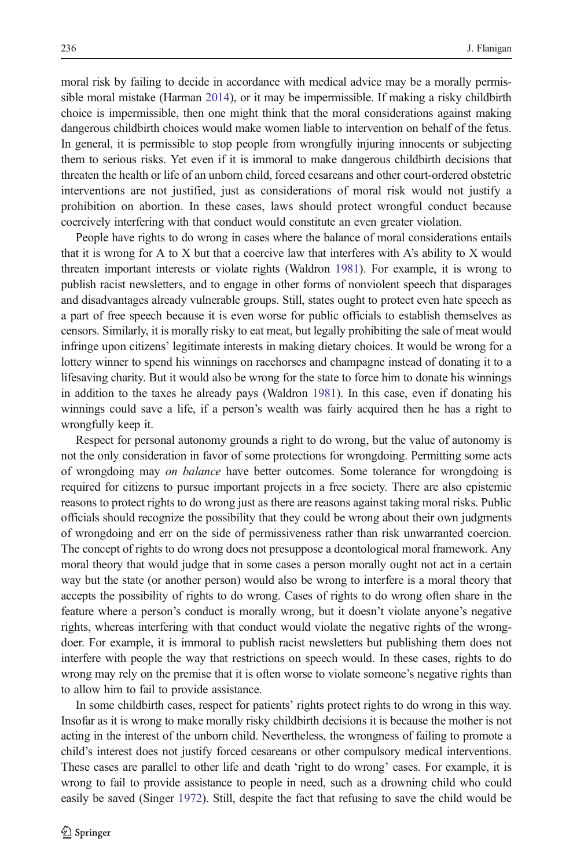moral risk by failing to decide in accordance with medical advice may be a morally permissible moral mistake (Harman [2014](#page-18-0)), or it may be impermissible. If making a risky childbirth choice is impermissible, then one might think that the moral considerations against making dangerous childbirth choices would make women liable to intervention on behalf of the fetus. In general, it is permissible to stop people from wrongfully injuring innocents or subjecting them to serious risks. Yet even if it is immoral to make dangerous childbirth decisions that threaten the health or life of an unborn child, forced cesareans and other court-ordered obstetric interventions are not justified, just as considerations of moral risk would not justify a prohibition on abortion. In these cases, laws should protect wrongful conduct because coercively interfering with that conduct would constitute an even greater violation.

People have rights to do wrong in cases where the balance of moral considerations entails that it is wrong for A to X but that a coercive law that interferes with A's ability to X would threaten important interests or violate rights (Waldron [1981\)](#page-19-0). For example, it is wrong to publish racist newsletters, and to engage in other forms of nonviolent speech that disparages and disadvantages already vulnerable groups. Still, states ought to protect even hate speech as a part of free speech because it is even worse for public officials to establish themselves as censors. Similarly, it is morally risky to eat meat, but legally prohibiting the sale of meat would infringe upon citizens' legitimate interests in making dietary choices. It would be wrong for a lottery winner to spend his winnings on racehorses and champagne instead of donating it to a lifesaving charity. But it would also be wrong for the state to force him to donate his winnings in addition to the taxes he already pays (Waldron [1981](#page-19-0)). In this case, even if donating his winnings could save a life, if a person's wealth was fairly acquired then he has a right to wrongfully keep it.

Respect for personal autonomy grounds a right to do wrong, but the value of autonomy is not the only consideration in favor of some protections for wrongdoing. Permitting some acts of wrongdoing may *on balance* have better outcomes. Some tolerance for wrongdoing is required for citizens to pursue important projects in a free society. There are also epistemic reasons to protect rights to do wrong just as there are reasons against taking moral risks. Public officials should recognize the possibility that they could be wrong about their own judgments of wrongdoing and err on the side of permissiveness rather than risk unwarranted coercion. The concept of rights to do wrong does not presuppose a deontological moral framework. Any moral theory that would judge that in some cases a person morally ought not act in a certain way but the state (or another person) would also be wrong to interfere is a moral theory that accepts the possibility of rights to do wrong. Cases of rights to do wrong often share in the feature where a person's conduct is morally wrong, but it doesn't violate anyone's negative rights, whereas interfering with that conduct would violate the negative rights of the wrongdoer. For example, it is immoral to publish racist newsletters but publishing them does not interfere with people the way that restrictions on speech would. In these cases, rights to do wrong may rely on the premise that it is often worse to violate someone's negative rights than to allow him to fail to provide assistance.

In some childbirth cases, respect for patients' rights protect rights to do wrong in this way. Insofar as it is wrong to make morally risky childbirth decisions it is because the mother is not acting in the interest of the unborn child. Nevertheless, the wrongness of failing to promote a child's interest does not justify forced cesareans or other compulsory medical interventions. These cases are parallel to other life and death 'right to do wrong' cases. For example, it is wrong to fail to provide assistance to people in need, such as a drowning child who could easily be saved (Singer [1972](#page-19-0)). Still, despite the fact that refusing to save the child would be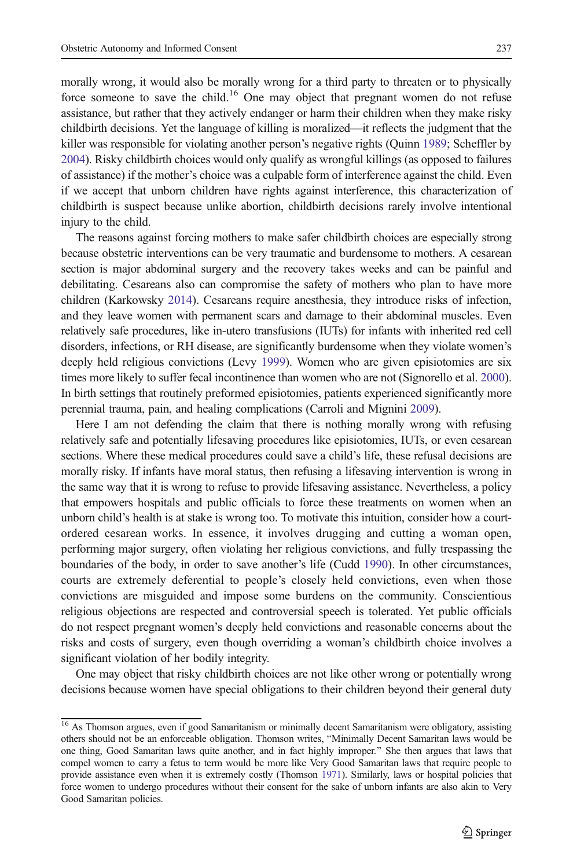morally wrong, it would also be morally wrong for a third party to threaten or to physically force someone to save the child.<sup>16</sup> One may object that pregnant women do not refuse assistance, but rather that they actively endanger or harm their children when they make risky childbirth decisions. Yet the language of killing is moralized—it reflects the judgment that the killer was responsible for violating another person's negative rights (Quinn [1989;](#page-19-0) Scheffler by [2004](#page-19-0)). Risky childbirth choices would only qualify as wrongful killings (as opposed to failures of assistance) if the mother's choice was a culpable form of interference against the child. Even if we accept that unborn children have rights against interference, this characterization of childbirth is suspect because unlike abortion, childbirth decisions rarely involve intentional injury to the child.

The reasons against forcing mothers to make safer childbirth choices are especially strong because obstetric interventions can be very traumatic and burdensome to mothers. A cesarean section is major abdominal surgery and the recovery takes weeks and can be painful and debilitating. Cesareans also can compromise the safety of mothers who plan to have more children (Karkowsky [2014\)](#page-18-0). Cesareans require anesthesia, they introduce risks of infection, and they leave women with permanent scars and damage to their abdominal muscles. Even relatively safe procedures, like in-utero transfusions (IUTs) for infants with inherited red cell disorders, infections, or RH disease, are significantly burdensome when they violate women's deeply held religious convictions (Levy [1999\)](#page-18-0). Women who are given episiotomies are six times more likely to suffer fecal incontinence than women who are not (Signorello et al. [2000](#page-19-0)). In birth settings that routinely preformed episiotomies, patients experienced significantly more perennial trauma, pain, and healing complications (Carroli and Mignini [2009](#page-17-0)).

Here I am not defending the claim that there is nothing morally wrong with refusing relatively safe and potentially lifesaving procedures like episiotomies, IUTs, or even cesarean sections. Where these medical procedures could save a child's life, these refusal decisions are morally risky. If infants have moral status, then refusing a lifesaving intervention is wrong in the same way that it is wrong to refuse to provide lifesaving assistance. Nevertheless, a policy that empowers hospitals and public officials to force these treatments on women when an unborn child's health is at stake is wrong too. To motivate this intuition, consider how a courtordered cesarean works. In essence, it involves drugging and cutting a woman open, performing major surgery, often violating her religious convictions, and fully trespassing the boundaries of the body, in order to save another's life (Cudd [1990\)](#page-18-0). In other circumstances, courts are extremely deferential to people's closely held convictions, even when those convictions are misguided and impose some burdens on the community. Conscientious religious objections are respected and controversial speech is tolerated. Yet public officials do not respect pregnant women's deeply held convictions and reasonable concerns about the risks and costs of surgery, even though overriding a woman's childbirth choice involves a significant violation of her bodily integrity.

One may object that risky childbirth choices are not like other wrong or potentially wrong decisions because women have special obligations to their children beyond their general duty

<sup>&</sup>lt;sup>16</sup> As Thomson argues, even if good Samaritanism or minimally decent Samaritanism were obligatory, assisting others should not be an enforceable obligation. Thomson writes, "Minimally Decent Samaritan laws would be one thing, Good Samaritan laws quite another, and in fact highly improper.^ She then argues that laws that compel women to carry a fetus to term would be more like Very Good Samaritan laws that require people to provide assistance even when it is extremely costly (Thomson [1971](#page-19-0)). Similarly, laws or hospital policies that force women to undergo procedures without their consent for the sake of unborn infants are also akin to Very Good Samaritan policies.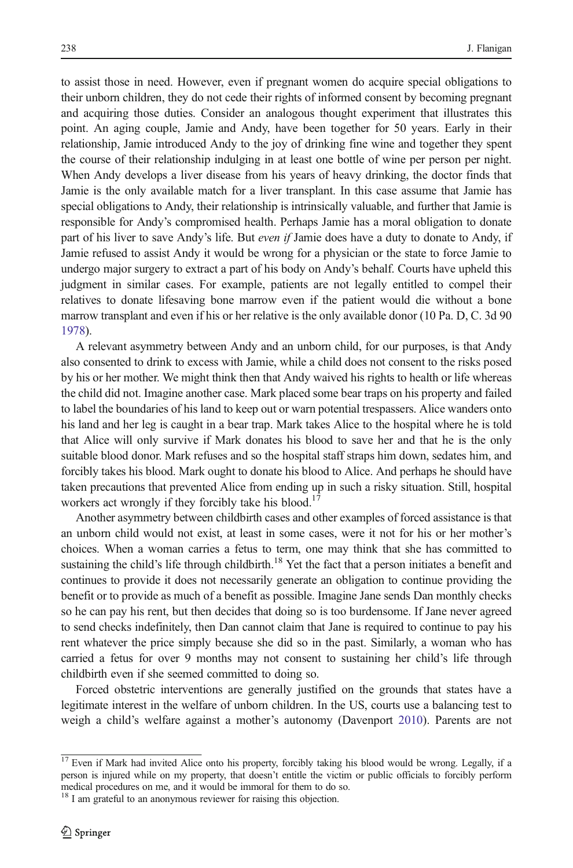to assist those in need. However, even if pregnant women do acquire special obligations to their unborn children, they do not cede their rights of informed consent by becoming pregnant and acquiring those duties. Consider an analogous thought experiment that illustrates this point. An aging couple, Jamie and Andy, have been together for 50 years. Early in their relationship, Jamie introduced Andy to the joy of drinking fine wine and together they spent the course of their relationship indulging in at least one bottle of wine per person per night. When Andy develops a liver disease from his years of heavy drinking, the doctor finds that Jamie is the only available match for a liver transplant. In this case assume that Jamie has special obligations to Andy, their relationship is intrinsically valuable, and further that Jamie is responsible for Andy's compromised health. Perhaps Jamie has a moral obligation to donate part of his liver to save Andy's life. But *even if* Jamie does have a duty to donate to Andy, if Jamie refused to assist Andy it would be wrong for a physician or the state to force Jamie to undergo major surgery to extract a part of his body on Andy's behalf. Courts have upheld this judgment in similar cases. For example, patients are not legally entitled to compel their relatives to donate lifesaving bone marrow even if the patient would die without a bone marrow transplant and even if his or her relative is the only available donor (10 Pa. D, C. 3d 90 [1978](#page-17-0)).

A relevant asymmetry between Andy and an unborn child, for our purposes, is that Andy also consented to drink to excess with Jamie, while a child does not consent to the risks posed by his or her mother. We might think then that Andy waived his rights to health or life whereas the child did not. Imagine another case. Mark placed some bear traps on his property and failed to label the boundaries of his land to keep out or warn potential trespassers. Alice wanders onto his land and her leg is caught in a bear trap. Mark takes Alice to the hospital where he is told that Alice will only survive if Mark donates his blood to save her and that he is the only suitable blood donor. Mark refuses and so the hospital staff straps him down, sedates him, and forcibly takes his blood. Mark ought to donate his blood to Alice. And perhaps he should have taken precautions that prevented Alice from ending up in such a risky situation. Still, hospital workers act wrongly if they forcibly take his blood.<sup>17</sup>

Another asymmetry between childbirth cases and other examples of forced assistance is that an unborn child would not exist, at least in some cases, were it not for his or her mother's choices. When a woman carries a fetus to term, one may think that she has committed to sustaining the child's life through childbirth.<sup>18</sup> Yet the fact that a person initiates a benefit and continues to provide it does not necessarily generate an obligation to continue providing the benefit or to provide as much of a benefit as possible. Imagine Jane sends Dan monthly checks so he can pay his rent, but then decides that doing so is too burdensome. If Jane never agreed to send checks indefinitely, then Dan cannot claim that Jane is required to continue to pay his rent whatever the price simply because she did so in the past. Similarly, a woman who has carried a fetus for over 9 months may not consent to sustaining her child's life through childbirth even if she seemed committed to doing so.

Forced obstetric interventions are generally justified on the grounds that states have a legitimate interest in the welfare of unborn children. In the US, courts use a balancing test to weigh a child's welfare against a mother's autonomy (Davenport [2010](#page-18-0)). Parents are not

 $17$  Even if Mark had invited Alice onto his property, forcibly taking his blood would be wrong. Legally, if a person is injured while on my property, that doesn't entitle the victim or public officials to forcibly perform medical procedures on me, and it would be immoral for them to do so.

<sup>&</sup>lt;sup>18</sup> I am grateful to an anonymous reviewer for raising this objection.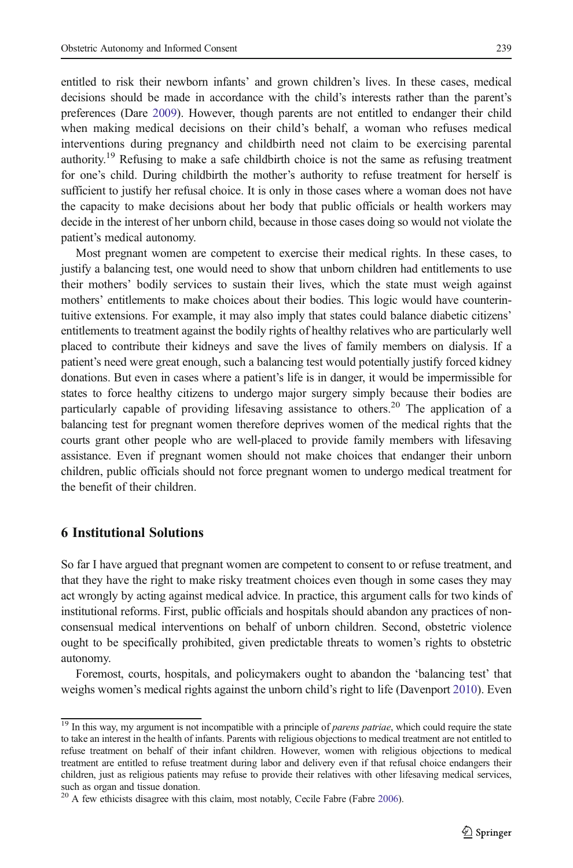entitled to risk their newborn infants' and grown children's lives. In these cases, medical decisions should be made in accordance with the child's interests rather than the parent's preferences (Dare [2009\)](#page-18-0). However, though parents are not entitled to endanger their child when making medical decisions on their child's behalf, a woman who refuses medical interventions during pregnancy and childbirth need not claim to be exercising parental authority.<sup>19</sup> Refusing to make a safe childbirth choice is not the same as refusing treatment for one's child. During childbirth the mother's authority to refuse treatment for herself is sufficient to justify her refusal choice. It is only in those cases where a woman does not have the capacity to make decisions about her body that public officials or health workers may decide in the interest of her unborn child, because in those cases doing so would not violate the patient's medical autonomy.

Most pregnant women are competent to exercise their medical rights. In these cases, to justify a balancing test, one would need to show that unborn children had entitlements to use their mothers' bodily services to sustain their lives, which the state must weigh against mothers' entitlements to make choices about their bodies. This logic would have counterintuitive extensions. For example, it may also imply that states could balance diabetic citizens' entitlements to treatment against the bodily rights of healthy relatives who are particularly well placed to contribute their kidneys and save the lives of family members on dialysis. If a patient's need were great enough, such a balancing test would potentially justify forced kidney donations. But even in cases where a patient's life is in danger, it would be impermissible for states to force healthy citizens to undergo major surgery simply because their bodies are particularly capable of providing lifesaving assistance to others.<sup>20</sup> The application of a balancing test for pregnant women therefore deprives women of the medical rights that the courts grant other people who are well-placed to provide family members with lifesaving assistance. Even if pregnant women should not make choices that endanger their unborn children, public officials should not force pregnant women to undergo medical treatment for the benefit of their children.

### 6 Institutional Solutions

So far I have argued that pregnant women are competent to consent to or refuse treatment, and that they have the right to make risky treatment choices even though in some cases they may act wrongly by acting against medical advice. In practice, this argument calls for two kinds of institutional reforms. First, public officials and hospitals should abandon any practices of nonconsensual medical interventions on behalf of unborn children. Second, obstetric violence ought to be specifically prohibited, given predictable threats to women's rights to obstetric autonomy.

Foremost, courts, hospitals, and policymakers ought to abandon the 'balancing test' that weighs women's medical rights against the unborn child's right to life (Davenport [2010](#page-18-0)). Even

 $\frac{19}{19}$  In this way, my argument is not incompatible with a principle of *parens patriae*, which could require the state to take an interest in the health of infants. Parents with religious objections to medical treatment are not entitled to refuse treatment on behalf of their infant children. However, women with religious objections to medical treatment are entitled to refuse treatment during labor and delivery even if that refusal choice endangers their children, just as religious patients may refuse to provide their relatives with other lifesaving medical services, such as organ and tissue donation.

<sup>&</sup>lt;sup>20</sup> A few ethicists disagree with this claim, most notably, Cecile Fabre (Fabre [2006\)](#page-18-0).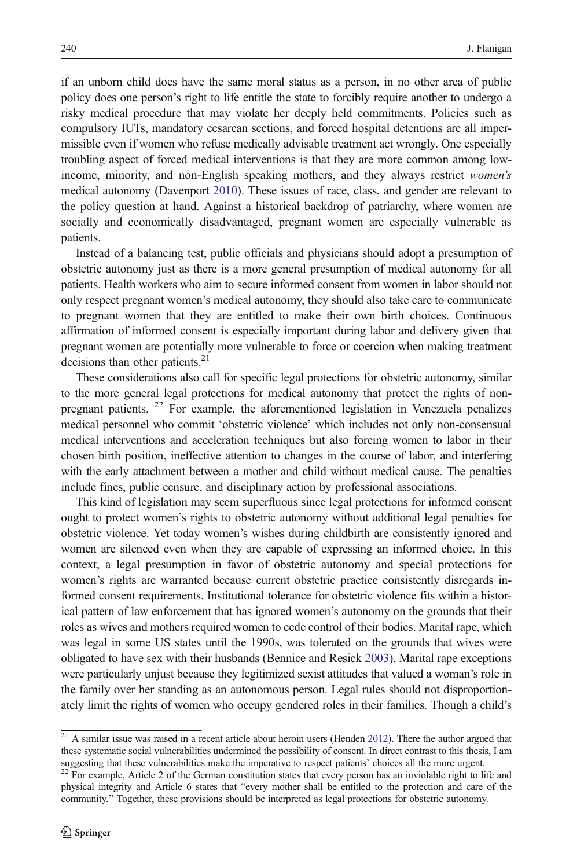if an unborn child does have the same moral status as a person, in no other area of public policy does one person's right to life entitle the state to forcibly require another to undergo a risky medical procedure that may violate her deeply held commitments. Policies such as compulsory IUTs, mandatory cesarean sections, and forced hospital detentions are all impermissible even if women who refuse medically advisable treatment act wrongly. One especially troubling aspect of forced medical interventions is that they are more common among lowincome, minority, and non-English speaking mothers, and they always restrict women's medical autonomy (Davenport [2010](#page-18-0)). These issues of race, class, and gender are relevant to the policy question at hand. Against a historical backdrop of patriarchy, where women are socially and economically disadvantaged, pregnant women are especially vulnerable as patients.

Instead of a balancing test, public officials and physicians should adopt a presumption of obstetric autonomy just as there is a more general presumption of medical autonomy for all patients. Health workers who aim to secure informed consent from women in labor should not only respect pregnant women's medical autonomy, they should also take care to communicate to pregnant women that they are entitled to make their own birth choices. Continuous affirmation of informed consent is especially important during labor and delivery given that pregnant women are potentially more vulnerable to force or coercion when making treatment decisions than other patients.<sup>21</sup>

These considerations also call for specific legal protections for obstetric autonomy, similar to the more general legal protections for medical autonomy that protect the rights of nonpregnant patients.  $^{22}$  For example, the aforementioned legislation in Venezuela penalizes medical personnel who commit 'obstetric violence' which includes not only non-consensual medical interventions and acceleration techniques but also forcing women to labor in their chosen birth position, ineffective attention to changes in the course of labor, and interfering with the early attachment between a mother and child without medical cause. The penalties include fines, public censure, and disciplinary action by professional associations.

This kind of legislation may seem superfluous since legal protections for informed consent ought to protect women's rights to obstetric autonomy without additional legal penalties for obstetric violence. Yet today women's wishes during childbirth are consistently ignored and women are silenced even when they are capable of expressing an informed choice. In this context, a legal presumption in favor of obstetric autonomy and special protections for women's rights are warranted because current obstetric practice consistently disregards informed consent requirements. Institutional tolerance for obstetric violence fits within a historical pattern of law enforcement that has ignored women's autonomy on the grounds that their roles as wives and mothers required women to cede control of their bodies. Marital rape, which was legal in some US states until the 1990s, was tolerated on the grounds that wives were obligated to have sex with their husbands (Bennice and Resick [2003\)](#page-17-0). Marital rape exceptions were particularly unjust because they legitimized sexist attitudes that valued a woman's role in the family over her standing as an autonomous person. Legal rules should not disproportionately limit the rights of women who occupy gendered roles in their families. Though a child's

 $21$  A similar issue was raised in a recent article about heroin users (Henden [2012\)](#page-18-0). There the author argued that these systematic social vulnerabilities undermined the possibility of consent. In direct contrast to this thesis, I am

suggesting that these vulnerabilities make the imperative to respect patients' choices all the more urgent.  $22^2$  For example, Article 2 of the German constitution states that every person has an inviolable right to life physical integrity and Article 6 states that "every mother shall be entitled to the protection and care of the community." Together, these provisions should be interpreted as legal protections for obstetric autonomy.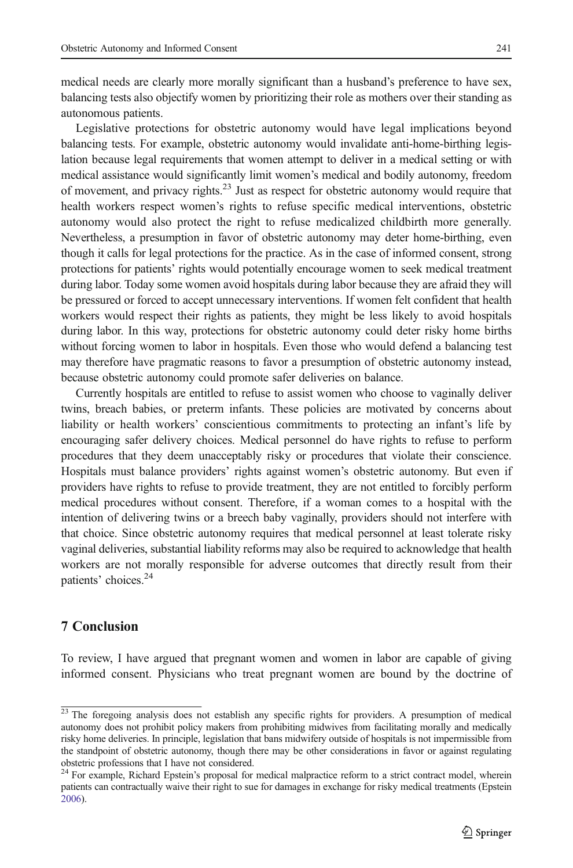medical needs are clearly more morally significant than a husband's preference to have sex, balancing tests also objectify women by prioritizing their role as mothers over their standing as autonomous patients.

Legislative protections for obstetric autonomy would have legal implications beyond balancing tests. For example, obstetric autonomy would invalidate anti-home-birthing legislation because legal requirements that women attempt to deliver in a medical setting or with medical assistance would significantly limit women's medical and bodily autonomy, freedom of movement, and privacy rights.<sup>23</sup> Just as respect for obstetric autonomy would require that health workers respect women's rights to refuse specific medical interventions, obstetric autonomy would also protect the right to refuse medicalized childbirth more generally. Nevertheless, a presumption in favor of obstetric autonomy may deter home-birthing, even though it calls for legal protections for the practice. As in the case of informed consent, strong protections for patients' rights would potentially encourage women to seek medical treatment during labor. Today some women avoid hospitals during labor because they are afraid they will be pressured or forced to accept unnecessary interventions. If women felt confident that health workers would respect their rights as patients, they might be less likely to avoid hospitals during labor. In this way, protections for obstetric autonomy could deter risky home births without forcing women to labor in hospitals. Even those who would defend a balancing test may therefore have pragmatic reasons to favor a presumption of obstetric autonomy instead, because obstetric autonomy could promote safer deliveries on balance.

Currently hospitals are entitled to refuse to assist women who choose to vaginally deliver twins, breach babies, or preterm infants. These policies are motivated by concerns about liability or health workers' conscientious commitments to protecting an infant's life by encouraging safer delivery choices. Medical personnel do have rights to refuse to perform procedures that they deem unacceptably risky or procedures that violate their conscience. Hospitals must balance providers' rights against women's obstetric autonomy. But even if providers have rights to refuse to provide treatment, they are not entitled to forcibly perform medical procedures without consent. Therefore, if a woman comes to a hospital with the intention of delivering twins or a breech baby vaginally, providers should not interfere with that choice. Since obstetric autonomy requires that medical personnel at least tolerate risky vaginal deliveries, substantial liability reforms may also be required to acknowledge that health workers are not morally responsible for adverse outcomes that directly result from their patients' choices.<sup>24</sup>

### 7 Conclusion

To review, I have argued that pregnant women and women in labor are capable of giving informed consent. Physicians who treat pregnant women are bound by the doctrine of

 $23$  The foregoing analysis does not establish any specific rights for providers. A presumption of medical autonomy does not prohibit policy makers from prohibiting midwives from facilitating morally and medically risky home deliveries. In principle, legislation that bans midwifery outside of hospitals is not impermissible from the standpoint of obstetric autonomy, though there may be other considerations in favor or against regulating obstetric professions that I have not considered.

<sup>&</sup>lt;sup>24</sup> For example, Richard Epstein's proposal for medical malpractice reform to a strict contract model, wherein patients can contractually waive their right to sue for damages in exchange for risky medical treatments (Epstein [2006](#page-18-0)).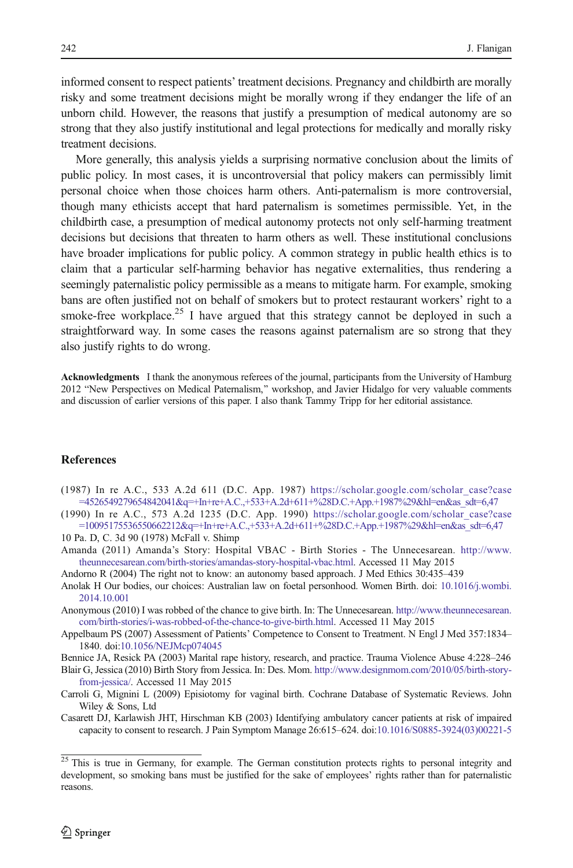<span id="page-17-0"></span>informed consent to respect patients' treatment decisions. Pregnancy and childbirth are morally risky and some treatment decisions might be morally wrong if they endanger the life of an unborn child. However, the reasons that justify a presumption of medical autonomy are so strong that they also justify institutional and legal protections for medically and morally risky treatment decisions.

More generally, this analysis yields a surprising normative conclusion about the limits of public policy. In most cases, it is uncontroversial that policy makers can permissibly limit personal choice when those choices harm others. Anti-paternalism is more controversial, though many ethicists accept that hard paternalism is sometimes permissible. Yet, in the childbirth case, a presumption of medical autonomy protects not only self-harming treatment decisions but decisions that threaten to harm others as well. These institutional conclusions have broader implications for public policy. A common strategy in public health ethics is to claim that a particular self-harming behavior has negative externalities, thus rendering a seemingly paternalistic policy permissible as a means to mitigate harm. For example, smoking bans are often justified not on behalf of smokers but to protect restaurant workers' right to a smoke-free workplace.<sup>25</sup> I have argued that this strategy cannot be deployed in such a straightforward way. In some cases the reasons against paternalism are so strong that they also justify rights to do wrong.

Acknowledgments I thank the anonymous referees of the journal, participants from the University of Hamburg 2012 "New Perspectives on Medical Paternalism," workshop, and Javier Hidalgo for very valuable comments and discussion of earlier versions of this paper. I also thank Tammy Tripp for her editorial assistance.

#### **References**

- (1987) In re A.C., 533 A.2d 611 (D.C. App. 1987) [https://scholar.google.com/scholar\\_case?case](https://scholar.google.com/scholar_case?case=4526549279654842041&q=+In+re+A.C.,+533+A.2d+611+%28D.C.+App.+1987%29&hl=en&as_sdt=6,47) [=4526549279654842041&q=+In+re+A.C.,+533+A.2d+611+%28D.C.+App.+1987%29&hl=en&as\\_sdt=6,47](https://scholar.google.com/scholar_case?case=4526549279654842041&q=+In+re+A.C.,+533+A.2d+611+%28D.C.+App.+1987%29&hl=en&as_sdt=6,47)
- (1990) In re A.C., 573 A.2d 1235 (D.C. App. 1990) [https://scholar.google.com/scholar\\_case?case](https://scholar.google.com/scholar_case?case=10095175536550662212&q=+In+re+A.C.,+533+A.2d+611+%28D.C.+App.+1987%29&hl=en&as_sdt=6,47) [=10095175536550662212&q=+In+re+A.C.,+533+A.2d+611+%28D.C.+App.+1987%29&hl=en&as\\_sdt=6,47](https://scholar.google.com/scholar_case?case=10095175536550662212&q=+In+re+A.C.,+533+A.2d+611+%28D.C.+App.+1987%29&hl=en&as_sdt=6,47)
- 10 Pa. D, C. 3d 90 (1978) McFall v. Shimp
- Amanda (2011) Amanda's Story: Hospital VBAC Birth Stories The Unnecesarean. [http://www.](http://www.theunnecesarean.com/birth-stories/amandas-story-hospital-vbac.html) [theunnecesarean.com/birth-stories/amandas-story-hospital-vbac.html](http://www.theunnecesarean.com/birth-stories/amandas-story-hospital-vbac.html). Accessed 11 May 2015
- Andorno R (2004) The right not to know: an autonomy based approach. J Med Ethics 30:435–439
- Anolak H Our bodies, our choices: Australian law on foetal personhood. Women Birth. doi: [10.1016/j.wombi.](http://dx.doi.org/10.1016/j.wombi.2014.10.001) [2014.10.001](http://dx.doi.org/10.1016/j.wombi.2014.10.001)
- Anonymous (2010) I was robbed of the chance to give birth. In: The Unnecesarean. [http://www.theunnecesarean.](http://www.theunnecesarean.com/birth-stories/i-was-robbed-of-the-chance-to-give-birth.html) [com/birth-stories/i-was-robbed-of-the-chance-to-give-birth.html.](http://www.theunnecesarean.com/birth-stories/i-was-robbed-of-the-chance-to-give-birth.html) Accessed 11 May 2015
- Appelbaum PS (2007) Assessment of Patients' Competence to Consent to Treatment. N Engl J Med 357:1834– 1840. doi[:10.1056/NEJMcp074045](http://dx.doi.org/10.1056/NEJMcp074045)
- Bennice JA, Resick PA (2003) Marital rape history, research, and practice. Trauma Violence Abuse 4:228–246

Blair G, Jessica (2010) Birth Story from Jessica. In: Des. Mom. [http://www.designmom.com/2010/05/birth-story](http://www.designmom.com/2010/05/birth-story-from-jessica/)[from-jessica/](http://www.designmom.com/2010/05/birth-story-from-jessica/). Accessed 11 May 2015

- Carroli G, Mignini L (2009) Episiotomy for vaginal birth. Cochrane Database of Systematic Reviews. John Wiley & Sons, Ltd
- Casarett DJ, Karlawish JHT, Hirschman KB (2003) Identifying ambulatory cancer patients at risk of impaired capacity to consent to research. J Pain Symptom Manage 26:615–624. doi[:10.1016/S0885-3924\(03\)00221-5](http://dx.doi.org/10.1016/S0885-3924(03)00221-5)

 $25$  This is true in Germany, for example. The German constitution protects rights to personal integrity and development, so smoking bans must be justified for the sake of employees' rights rather than for paternalistic reasons.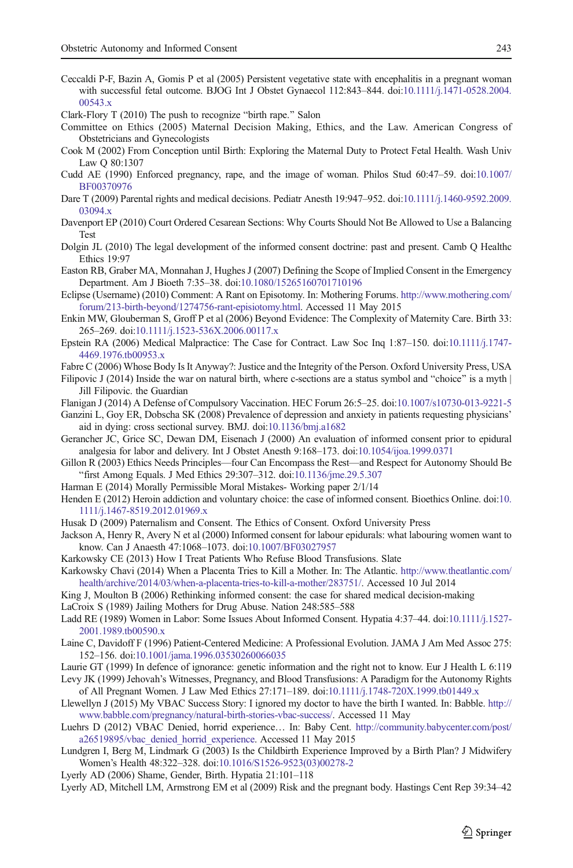<span id="page-18-0"></span>Ceccaldi P-F, Bazin A, Gomis P et al (2005) Persistent vegetative state with encephalitis in a pregnant woman with successful fetal outcome. BJOG Int J Obstet Gynaecol 112:843–844. doi[:10.1111/j.1471-0528.2004.](http://dx.doi.org/10.1111/j.1471-0528.2004.00543.x) [00543.x](http://dx.doi.org/10.1111/j.1471-0528.2004.00543.x)

Clark-Flory  $T(2010)$  The push to recognize "birth rape." Salon

- Committee on Ethics (2005) Maternal Decision Making, Ethics, and the Law. American Congress of Obstetricians and Gynecologists
- Cook M (2002) From Conception until Birth: Exploring the Maternal Duty to Protect Fetal Health. Wash Univ Law Q 80:1307
- Cudd AE (1990) Enforced pregnancy, rape, and the image of woman. Philos Stud 60:47–59. doi[:10.1007/](http://dx.doi.org/10.1007/BF00370976) [BF00370976](http://dx.doi.org/10.1007/BF00370976)
- Dare T (2009) Parental rights and medical decisions. Pediatr Anesth 19:947–952. doi[:10.1111/j.1460-9592.2009.](http://dx.doi.org/10.1111/j.1460-9592.2009.03094.x) 03094 x
- Davenport EP (2010) Court Ordered Cesarean Sections: Why Courts Should Not Be Allowed to Use a Balancing Test
- Dolgin JL (2010) The legal development of the informed consent doctrine: past and present. Camb Q Healthc Ethics 19:97
- Easton RB, Graber MA, Monnahan J, Hughes J (2007) Defining the Scope of Implied Consent in the Emergency Department. Am J Bioeth 7:35–38. doi:[10.1080/15265160701710196](http://dx.doi.org/10.1080/15265160701710196)
- Eclipse (Username) (2010) Comment: A Rant on Episotomy. In: Mothering Forums. [http://www.mothering.com/](http://www.mothering.com/forum/213-birth-beyond/1274756-rant-episiotomy.html) [forum/213-birth-beyond/1274756-rant-episiotomy.html](http://www.mothering.com/forum/213-birth-beyond/1274756-rant-episiotomy.html). Accessed 11 May 2015
- Enkin MW, Glouberman S, Groff P et al (2006) Beyond Evidence: The Complexity of Maternity Care. Birth 33: 265–269. doi[:10.1111/j.1523-536X.2006.00117.x](http://dx.doi.org/10.1111/j.1523-536X.2006.00117.x)
- Epstein RA (2006) Medical Malpractice: The Case for Contract. Law Soc Inq 1:87–150. doi[:10.1111/j.1747-](http://dx.doi.org/10.1111/j.1747-4469.1976.tb00953.x) [4469.1976.tb00953.x](http://dx.doi.org/10.1111/j.1747-4469.1976.tb00953.x)
- Fabre C (2006) Whose Body Is It Anyway?: Justice and the Integrity of the Person. Oxford University Press, USA
- Filipovic J (2014) Inside the war on natural birth, where c-sections are a status symbol and "choice" is a myth  $\vert$ Jill Filipovic. the Guardian
- Flanigan J (2014) A Defense of Compulsory Vaccination. HEC Forum 26:5–25. doi:[10.1007/s10730-013-9221-5](http://dx.doi.org/10.1007/s10730-013-9221-5)

Ganzini L, Goy ER, Dobscha SK (2008) Prevalence of depression and anxiety in patients requesting physicians' aid in dying: cross sectional survey. BMJ. doi:[10.1136/bmj.a1682](http://dx.doi.org/10.1136/bmj.a1682)

- Gerancher JC, Grice SC, Dewan DM, Eisenach J (2000) An evaluation of informed consent prior to epidural analgesia for labor and delivery. Int J Obstet Anesth 9:168–173. doi:[10.1054/ijoa.1999.0371](http://dx.doi.org/10.1054/ijoa.1999.0371)
- Gillon R (2003) Ethics Needs Principles—four Can Encompass the Rest—and Respect for Autonomy Should Be Bfirst Among Equals. J Med Ethics 29:307–312. doi:[10.1136/jme.29.5.307](http://dx.doi.org/10.1136/jme.29.5.307)
- Harman E (2014) Morally Permissible Moral Mistakes- Working paper 2/1/14
- Henden E (2012) Heroin addiction and voluntary choice: the case of informed consent. Bioethics Online. doi:[10.](http://dx.doi.org/10.1111/j.1467-8519.2012.01969.x) [1111/j.1467-8519.2012.01969.x](http://dx.doi.org/10.1111/j.1467-8519.2012.01969.x)

Husak D (2009) Paternalism and Consent. The Ethics of Consent. Oxford University Press

- Jackson A, Henry R, Avery N et al (2000) Informed consent for labour epidurals: what labouring women want to know. Can J Anaesth 47:1068–1073. doi[:10.1007/BF03027957](http://dx.doi.org/10.1007/BF03027957)
- Karkowsky CE (2013) How I Treat Patients Who Refuse Blood Transfusions. Slate
- Karkowsky Chavi (2014) When a Placenta Tries to Kill a Mother. In: The Atlantic. [http://www.theatlantic.com/](http://www.theatlantic.com/health/archive/2014/03/when-a-placenta-tries-to-kill-a-mother/283751/) [health/archive/2014/03/when-a-placenta-tries-to-kill-a-mother/283751/](http://www.theatlantic.com/health/archive/2014/03/when-a-placenta-tries-to-kill-a-mother/283751/). Accessed 10 Jul 2014
- King J, Moulton B (2006) Rethinking informed consent: the case for shared medical decision-making
- LaCroix S (1989) Jailing Mothers for Drug Abuse. Nation 248:585–588
- Ladd RE (1989) Women in Labor: Some Issues About Informed Consent. Hypatia 4:37–44. doi[:10.1111/j.1527-](http://dx.doi.org/10.1111/j.1527-2001.1989.tb00590.x) [2001.1989.tb00590.x](http://dx.doi.org/10.1111/j.1527-2001.1989.tb00590.x)
- Laine C, Davidoff F (1996) Patient-Centered Medicine: A Professional Evolution. JAMA J Am Med Assoc 275: 152–156. doi[:10.1001/jama.1996.03530260066035](http://dx.doi.org/10.1001/jama.1996.03530260066035)

Laurie GT (1999) In defence of ignorance: genetic information and the right not to know. Eur J Health L 6:119

- Levy JK (1999) Jehovah's Witnesses, Pregnancy, and Blood Transfusions: A Paradigm for the Autonomy Rights of All Pregnant Women. J Law Med Ethics 27:171–189. doi:[10.1111/j.1748-720X.1999.tb01449.x](http://dx.doi.org/10.1111/j.1748-720X.1999.tb01449.x)
- Llewellyn J (2015) My VBAC Success Story: I ignored my doctor to have the birth I wanted. In: Babble. [http://](http://www.babble.com/pregnancy/natural-birth-stories-vbac-success/) [www.babble.com/pregnancy/natural-birth-stories-vbac-success/](http://www.babble.com/pregnancy/natural-birth-stories-vbac-success/). Accessed 11 May
- Luehrs D (2012) VBAC Denied, horrid experience… In: Baby Cent. [http://community.babycenter.com/post/](http://community.babycenter.com/post/a26519895/vbac_denied_horrid_experience) [a26519895/vbac\\_denied\\_horrid\\_experience](http://community.babycenter.com/post/a26519895/vbac_denied_horrid_experience). Accessed 11 May 2015
- Lundgren I, Berg M, Lindmark G (2003) Is the Childbirth Experience Improved by a Birth Plan? J Midwifery Women's Health 48:322–328. doi:[10.1016/S1526-9523\(03\)00278-2](http://dx.doi.org/10.1016/S1526-9523(03)00278-2)
- Lyerly AD (2006) Shame, Gender, Birth. Hypatia 21:101–118

Lyerly AD, Mitchell LM, Armstrong EM et al (2009) Risk and the pregnant body. Hastings Cent Rep 39:34–42